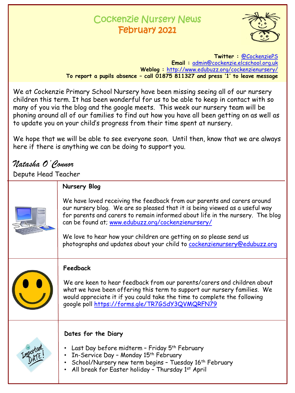# Cockenzie Nursery News February 2021



**Twitter :** [@CockenziePS](https://twitter.com/CockenziePS) **Email :** [admin@cockenzie.elcschool.org.uk](mailto:admin@cockenzie.elcschool.org.uk) **Weblog :** [http://www.edubuzz.org/cockenzienursery/](http://www.edubuzz.org/cockenzie/) **To report a pupils absence – call 01875 811327 and press '1' to leave message**

We at Cockenzie Primary School Nursery have been missing seeing all of our nursery children this term. It has been wonderful for us to be able to keep in contact with so many of you via the blog and the google meets. This week our nursery team will be phoning around all of our families to find out how you have all been getting on as well as to update you on your child's progress from their time spent at nursery.

We hope that we will be able to see everyone soon. Until then, know that we are always here if there is anything we can be doing to support you.

# *Natasha O'Connor*

Depute Head Teacher

| Nursery Blog                                                                                                                                                                                                                                                                                                                                                                                                                                    |
|-------------------------------------------------------------------------------------------------------------------------------------------------------------------------------------------------------------------------------------------------------------------------------------------------------------------------------------------------------------------------------------------------------------------------------------------------|
| We have loved receiving the feedback from our parents and carers around<br>our nursery blog. We are so pleased that it is being viewed as a useful way<br>for parents and carers to remain informed about life in the nursery. The blog<br>can be found at; www.edubuzz.org/cockenzienursery/<br>We love to hear how your children are getting on so please send us<br>photographs and updates about your child to cockenzienursery@edubuzz.org |
| Feedback<br>We are keen to hear feedback from our parents/carers and children about<br>what we have been offering this term to support our nursery families. We<br>would appreciate it if you could take the time to complete the following<br>google poll https://forms.gle/TR7GSdY3QVMQRFN79                                                                                                                                                  |
| Dates for the Diary<br>Last Day before midterm - Friday 5th February<br>In-Service Day - Monday 15 <sup>th</sup> February<br>School/Nursery new term begins - Tuesday 16th February<br>All break for Easter holiday - Thursday 1st April                                                                                                                                                                                                        |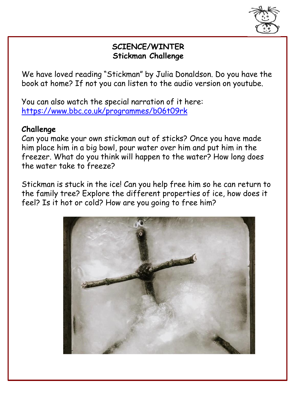

### **SCIENCE/WINTER Stickman Challenge**

We have loved reading "Stickman" by Julia Donaldson. Do you have the book at home? If not you can listen to the audio version on youtube.

You can also watch the special narration of it here: <https://www.bbc.co.uk/programmes/b06t09rk>

### **Challenge**

Can you make your own stickman out of sticks? Once you have made him place him in a big bowl, pour water over him and put him in the freezer. What do you think will happen to the water? How long does the water take to freeze?

Stickman is stuck in the ice! Can you help free him so he can return to the family tree? Explore the different properties of ice, how does it feel? Is it hot or cold? How are you going to free him?

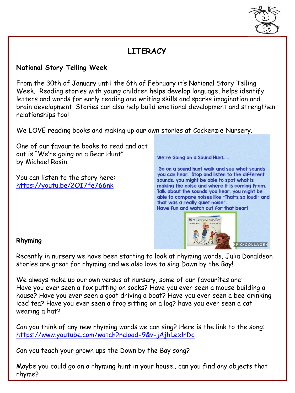

# **LITERACY**

#### **National Story Telling Week**

From the 30th of January until the 6th of February it's National Story Telling Week. Reading stories with young children helps develop language, helps identify letters and words for early reading and writing skills and sparks imagination and brain development. Stories can also help build emotional development and strengthen relationships too!

We LOVE reading books and making up our own stories at Cockenzie Nursery.

One of our favourite books to read and act out is "We're going on a Bear Hunt" by Michael Rosin.

You can listen to the story here: <https://youtu.be/2OI7fe766nk>

We're Going on a Sound Hunt.....

Go on a sound hunt walk and see what sounds you can hear. Stop and listen to the different sounds, you might be able to spot what is making the noise and where it is coming from. Talk about the sounds you hear, you might be able to compare noises like "That's so loud!" and that was a really quiet noise". Have fun and watch out for that bear!



#### **Rhyming**

Recently in nursery we have been starting to look at rhyming words, Julia Donaldson stories are great for rhyming and we also love to sing Down by the Bay!

We always make up our own versus at nursery, some of our favourites are: Have you ever seen a fox putting on socks? Have you ever seen a mouse building a house? Have you ever seen a goat driving a boat? Have you ever seen a bee drinking iced tea? Have you ever seen a frog sitting on a log? have you ever seen a cat wearing a hat?

Can you think of any new rhyming words we can sing? Here is the link to the song: <https://www.youtube.com/watch?reload=9&v=jAjhLexlrDc>

Can you teach your grown ups the Down by the Bay song?

Maybe you could go on a rhyming hunt in your house.. can you find any objects that rhyme?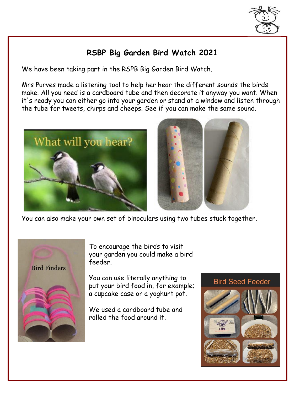

### **RSBP Big Garden Bird Watch 2021**

We have been taking part in the RSPB Big Garden Bird Watch.

Mrs Purves made a listening tool to help her hear the different sounds the birds make. All you need is a cardboard tube and then decorate it anyway you want. When it's ready you can either go into your garden or stand at a window and listen through the tube for tweets, chirps and cheeps. See if you can make the same sound.





You can also make your own set of binoculars using two tubes stuck together.



To encourage the birds to visit your garden you could make a bird feeder.

You can use literally anything to put your bird food in, for example; a cupcake case or a yoghurt pot.

We used a cardboard tube and rolled the food around it.

#### **Bird Seed Feeder**

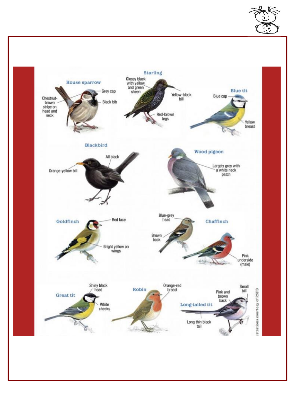